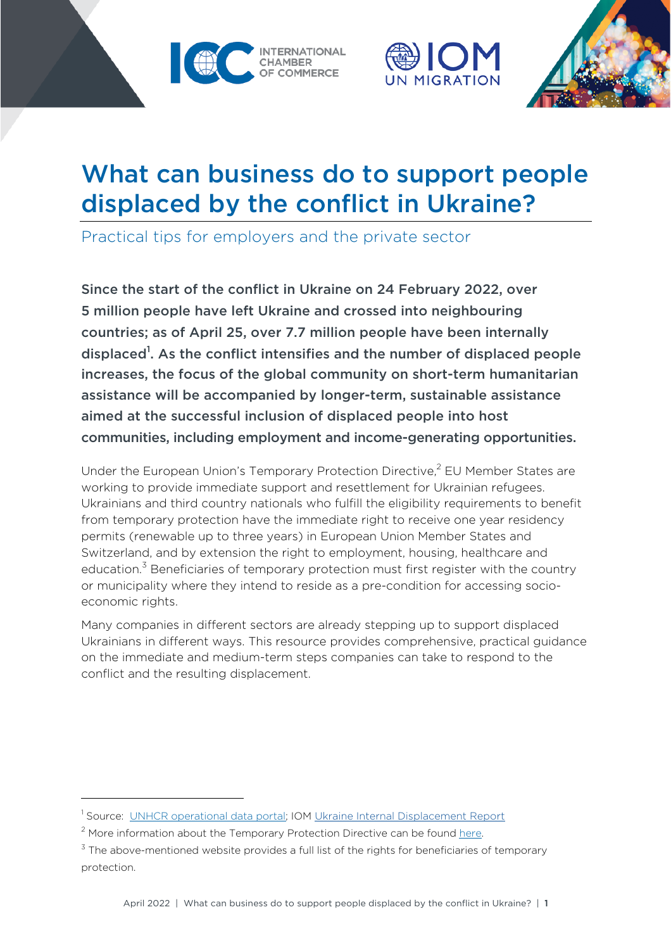





# What can business do to support people displaced by the conflict in Ukraine?

Practical tips for employers and the private sector

Since the start of the conflict in Ukraine on 24 February 2022, over 5 million people have left Ukraine and crossed into neighbouring countries; as of April 25, over 7.7 million people have been internally displaced<sup>1</sup>. As the conflict intensifies and the number of displaced people increases, the focus of the global community on short-term humanitarian assistance will be accompanied by longer-term, sustainable assistance aimed at the successful inclusion of displaced people into host communities, including employment and income-generating opportunities.

Under the European Union's Temporary Protection Directive,<sup>2</sup> EU Member States are working to provide immediate support and resettlement for Ukrainian refugees. Ukrainians and third country nationals who fulfill the eligibility requirements to benefit from temporary protection have the immediate right to receive one year residency permits (renewable up to three years) in European Union Member States and Switzerland, and by extension the right to employment, housing, healthcare and education.<sup>3</sup> Beneficiaries of temporary protection must first register with the country or municipality where they intend to reside as a pre-condition for accessing socioeconomic rights.

Many companies in different sectors are already stepping up to support displaced Ukrainians in different ways. This resource provides comprehensive, practical guidance on the immediate and medium-term steps companies can take to respond to the conflict and the resulting displacement.

<sup>&</sup>lt;sup>1</sup> Source: UNHCR [operational](https://data2.unhcr.org/en/situations/ukraine) data portal; [IOM Ukraine Internal Displacement Report](https://displacement.iom.int/reports/ukraine-internal-displacement-report-general-population-survey-round-3-11-17-april-2022)

 $2$  More information about the Temporary Protection Directive can be found [here](https://ec.europa.eu/home-affairs/policies/migration-and-asylum/common-european-asylum-system/temporary-protection_en).

 $3$  The above-mentioned website provides a full list of the rights for beneficiaries of temporary protection.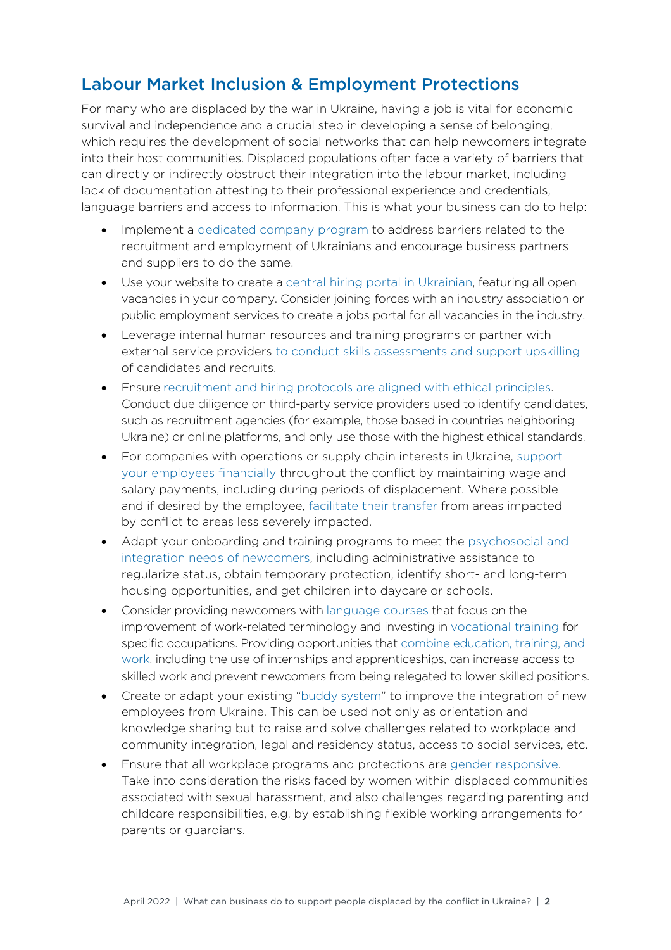#### Labour Market Inclusion & Employment Protections

For many who are displaced by the war in Ukraine, having a job is vital for economic survival and independence and a crucial step in developing a sense of belonging, which requires the development of social networks that can help newcomers integrate into their host communities. Displaced populations often face a variety of barriers that can directly or indirectly obstruct their integration into the labour market, including lack of documentation attesting to their professional experience and credentials, language barriers and access to information. This is what your business can do to help:

- Implement a dedicated company program to address barriers related to the recruitment and employment of Ukrainians and encourage business partners and suppliers to do the same.
- Use your website to create a central hiring portal in Ukrainian, featuring all open vacancies in your company. Consider joining forces with an industry association or public employment services to create a jobs portal for all vacancies in the industry.
- Leverage internal human resources and training programs or partner with external service providers to conduct skills assessments and support upskilling of candidates and recruits.
- Ensure recruitment and hiring protocols are aligned with ethical principles. Conduct due diligence on third-party service providers used to identify candidates, such as recruitment agencies (for example, those based in countries neighboring Ukraine) or online platforms, and only use those with the highest ethical standards.
- For companies with operations or supply chain interests in Ukraine, support your employees financially throughout the conflict by maintaining wage and salary payments, including during periods of displacement. Where possible and if desired by the employee, facilitate their transfer from areas impacted by conflict to areas less severely impacted.
- Adapt your onboarding and training programs to meet the psychosocial and integration needs of newcomers, including administrative assistance to regularize status, obtain temporary protection, identify short- and long-term housing opportunities, and get children into daycare or schools.
- Consider providing newcomers with language courses that focus on the improvement of work-related terminology and investing in vocational training for specific occupations. Providing opportunities that combine education, training, and work, including the use of internships and apprenticeships, can increase access to skilled work and prevent newcomers from being relegated to lower skilled positions.
- Create or adapt your existing "buddy system" to improve the integration of new employees from Ukraine. This can be used not only as orientation and knowledge sharing but to raise and solve challenges related to workplace and community integration, legal and residency status, access to social services, etc.
- Ensure that all workplace programs and protections are gender responsive. Take into consideration the risks faced by women within displaced communities associated with sexual harassment, and also challenges regarding parenting and childcare responsibilities, e.g. by establishing flexible working arrangements for parents or guardians.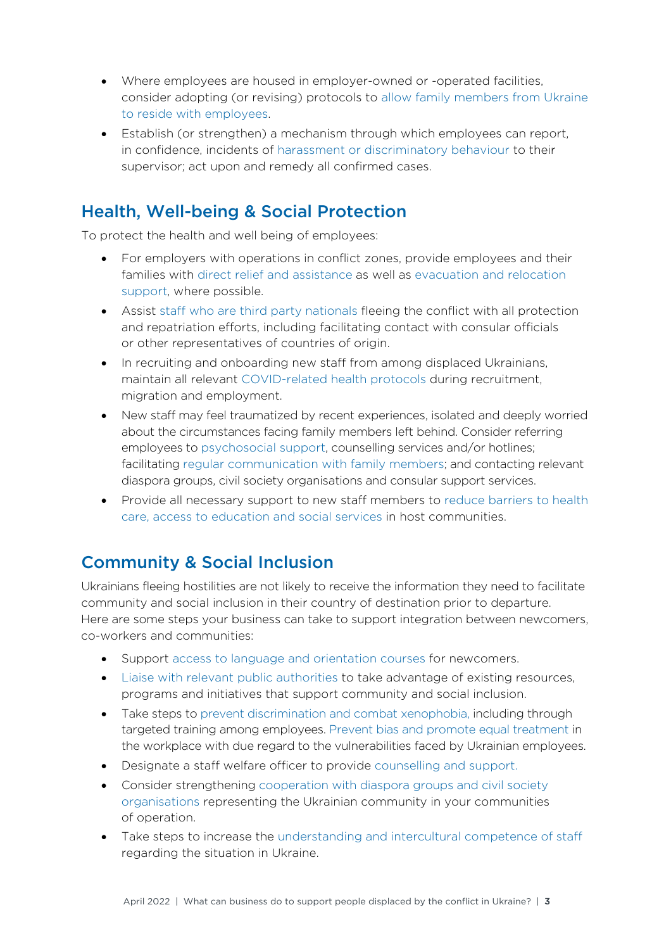- Where employees are housed in employer-owned or -operated facilities, consider adopting (or revising) protocols to allow family members from Ukraine to reside with employees.
- Establish (or strengthen) a mechanism through which employees can report, in confidence, incidents of harassment or discriminatory behaviour to their supervisor; act upon and remedy all confirmed cases.

#### Health, Well-being & Social Protection

To protect the health and well being of employees:

- For employers with operations in conflict zones, provide employees and their families with direct relief and assistance as well as evacuation and relocation support, where possible.
- Assist staff who are third party nationals fleeing the conflict with all protection and repatriation efforts, including facilitating contact with consular officials or other representatives of countries of origin.
- In recruiting and onboarding new staff from among displaced Ukrainians, maintain all relevant COVID-related health protocols during recruitment, migration and employment.
- New staff may feel traumatized by recent experiences, isolated and deeply worried about the circumstances facing family members left behind. Consider referring employees to psychosocial support, counselling services and/or hotlines; facilitating regular communication with family members; and contacting relevant diaspora groups, civil society organisations and consular support services.
- Provide all necessary support to new staff members to reduce barriers to health care, access to education and social services in host communities.

### Community & Social Inclusion

Ukrainians fleeing hostilities are not likely to receive the information they need to facilitate community and social inclusion in their country of destination prior to departure. Here are some steps your business can take to support integration between newcomers, co-workers and communities:

- Support access to language and orientation courses for newcomers.
- Liaise with relevant public authorities to take advantage of existing resources, programs and initiatives that support community and social inclusion.
- Take steps to prevent discrimination and combat xenophobia, including through targeted training among employees. Prevent bias and promote equal treatment in the workplace with due regard to the vulnerabilities faced by Ukrainian employees.
- Designate a staff welfare officer to provide counselling and support.
- Consider strengthening cooperation with diaspora groups and civil society organisations representing the Ukrainian community in your communities of operation.
- Take steps to increase the understanding and intercultural competence of staff regarding the situation in Ukraine.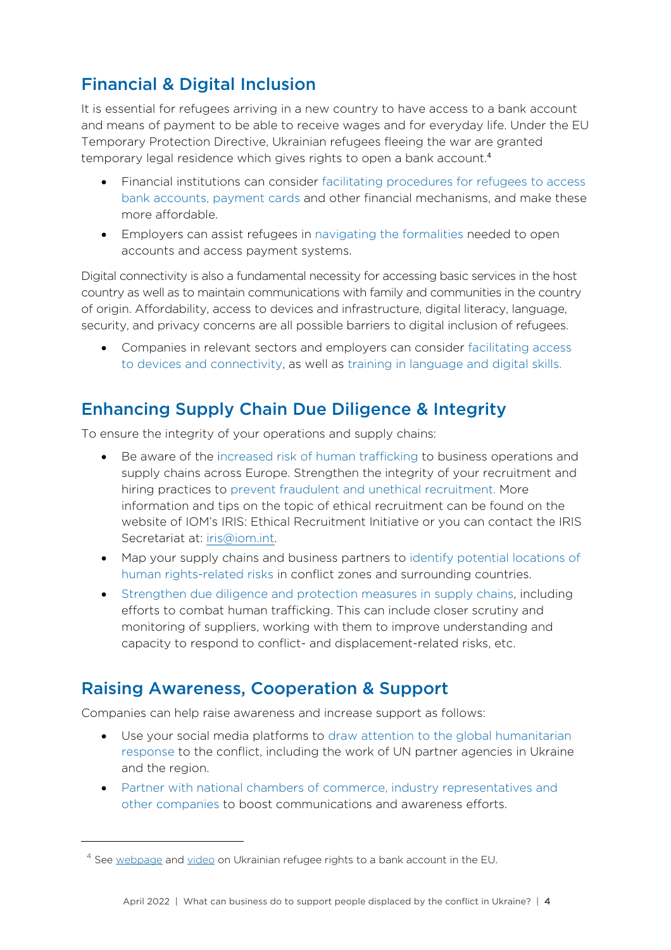## Financial & Digital Inclusion

It is essential for refugees arriving in a new country to have access to a bank account and means of payment to be able to receive wages and for everyday life. Under the EU Temporary Protection Directive, Ukrainian refugees fleeing the war are granted temporary legal residence which gives rights to open a bank account. 4

- Financial institutions can consider facilitating procedures for refugees to access bank accounts, payment cards and other financial mechanisms, and make these more affordable.
- Employers can assist refugees in navigating the formalities needed to open accounts and access payment systems.

Digital connectivity is also a fundamental necessity for accessing basic services in the host country as well as to maintain communications with family and communities in the country of origin. Affordability, access to devices and infrastructure, digital literacy, language, security, and privacy concerns are all possible barriers to digital inclusion of refugees.

• Companies in relevant sectors and employers can consider facilitating access to devices and connectivity, as well as training in language and digital skills.

## Enhancing Supply Chain Due Diligence & Integrity

To ensure the integrity of your operations and supply chains:

- Be aware of the increased risk of human trafficking to business operations and supply chains across Europe. Strengthen the integrity of your recruitment and hiring practices to prevent fraudulent and unethical recruitment. More information and tips on the topic of ethical recruitment can be found on the website of IOM's IRIS: Ethical Recruitment Initiative or you can contact the IRIS Secretariat at: iris@iom.int.
- Map your supply chains and business partners to identify potential locations of human rights-related risks in conflict zones and surrounding countries.
- Strengthen due diligence and protection measures in supply chains, including efforts to combat human trafficking. This can include closer scrutiny and monitoring of suppliers, working with them to improve understanding and capacity to respond to conflict- and displacement-related risks, etc.

### Raising Awareness, Cooperation & Support

Companies can help raise awareness and increase support as follows:

- Use your social media platforms to draw attention to the global humanitarian response to the conflict, including the work of UN partner agencies in Ukraine and the region.
- Partner with national chambers of commerce, industry representatives and other companies to boost communications and awareness efforts.

<sup>&</sup>lt;sup>4</sup> See [webpage](https://europa.eu/youreurope/citizens/consumers/financial-products-and-services/bank-accounts-eu/index_en.htm) and [video](https://audiovisual.ec.europa.eu/en/video/I-221808) on Ukrainian refugee rights to a bank account in the EU.